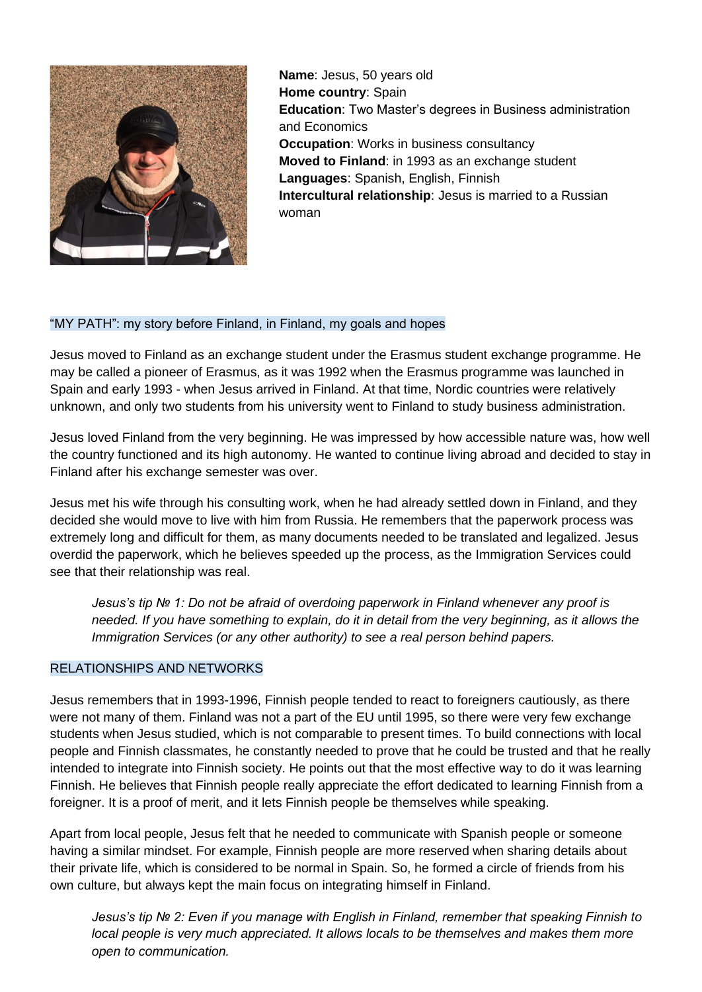

**Name**: Jesus, 50 years old **Home country**: Spain **Education**: Two Master's degrees in Business administration and Economics **Occupation:** Works in business consultancy **Moved to Finland**: in 1993 as an exchange student **Languages**: Spanish, English, Finnish **Intercultural relationship**: Jesus is married to a Russian woman

## "MY PATH": my story before Finland, in Finland, my goals and hopes

Jesus moved to Finland as an exchange student under the Erasmus student exchange programme. He may be called a pioneer of Erasmus, as it was 1992 when the Erasmus programme was launched in Spain and early 1993 - when Jesus arrived in Finland. At that time, Nordic countries were relatively unknown, and only two students from his university went to Finland to study business administration.

Jesus loved Finland from the very beginning. He was impressed by how accessible nature was, how well the country functioned and its high autonomy. He wanted to continue living abroad and decided to stay in Finland after his exchange semester was over.

Jesus met his wife through his consulting work, when he had already settled down in Finland, and they decided she would move to live with him from Russia. He remembers that the paperwork process was extremely long and difficult for them, as many documents needed to be translated and legalized. Jesus overdid the paperwork, which he believes speeded up the process, as the Immigration Services could see that their relationship was real.

*Jesus's tip № 1: Do not be afraid of overdoing paperwork in Finland whenever any proof is needed. If you have something to explain, do it in detail from the very beginning, as it allows the Immigration Services (or any other authority) to see a real person behind papers.* 

## RELATIONSHIPS AND NETWORKS

Jesus remembers that in 1993-1996, Finnish people tended to react to foreigners cautiously, as there were not many of them. Finland was not a part of the EU until 1995, so there were very few exchange students when Jesus studied, which is not comparable to present times. To build connections with local people and Finnish classmates, he constantly needed to prove that he could be trusted and that he really intended to integrate into Finnish society. He points out that the most effective way to do it was learning Finnish. He believes that Finnish people really appreciate the effort dedicated to learning Finnish from a foreigner. It is a proof of merit, and it lets Finnish people be themselves while speaking.

Apart from local people, Jesus felt that he needed to communicate with Spanish people or someone having a similar mindset. For example, Finnish people are more reserved when sharing details about their private life, which is considered to be normal in Spain. So, he formed a circle of friends from his own culture, but always kept the main focus on integrating himself in Finland.

*Jesus's tip № 2: Even if you manage with English in Finland, remember that speaking Finnish to local people is very much appreciated. It allows locals to be themselves and makes them more open to communication.*